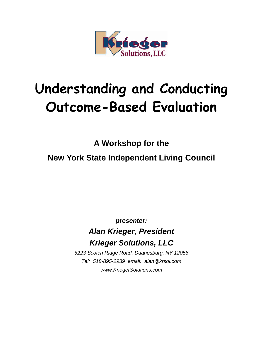

# **Understanding and Conducting Outcome-Based Evaluation**

**A Workshop for the** 

**New York State Independent Living Council** 

*presenter:*

## *Alan Krieger, President Krieger Solutions, LLC*

*5223 Scotch Ridge Road, Duanesburg, NY 12056 Tel: 518-895-2939 email: alan@krsol.com www.KriegerSolutions.com*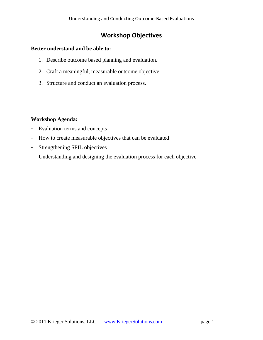## **Workshop Objectives**

#### **Better understand and be able to:**

- 1. Describe outcome based planning and evaluation.
- 2. Craft a meaningful, measurable outcome objective.
- 3. Structure and conduct an evaluation process.

#### **Workshop Agenda:**

- Evaluation terms and concepts
- How to create measurable objectives that can be evaluated
- Strengthening SPIL objectives
- Understanding and designing the evaluation process for each objective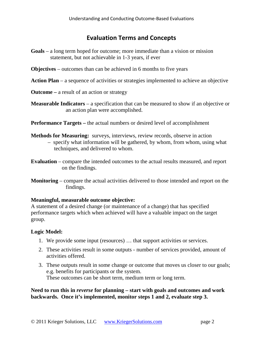#### **Evaluation Terms and Concepts**

- **Goals** a long term hoped for outcome; more immediate than a vision or mission statement, but not achievable in 1-3 years, if ever
- **Objectives** outcomes than can be achieved in 6 months to five years
- **Action Plan** a sequence of activities or strategies implemented to achieve an objective
- **Outcome –** a result of an action or strategy
- **Measurable Indicators** a specification that can be measured to show if an objective or an action plan were accomplished.
- **Performance Targets –** the actual numbers or desired level of accomplishment
- **Methods for Measuring:** surveys, interviews, review records, observe in action
	- specify what information will be gathered, by whom, from whom, using what techniques, and delivered to whom.
- **Evaluation** compare the intended outcomes to the actual results measured, and report on the findings.
- **Monitoring**  compare the actual activities delivered to those intended and report on the findings.

#### **Meaningful, measurable outcome objective:**

A statement of a desired change (or maintenance of a change) that has specified performance targets which when achieved will have a valuable impact on the target group.

#### **Logic Model:**

- 1. We provide some input (resources) … that support activities or services.
- 2. These activities result in some outputs number of services provided, amount of activities offered.
- 3. These outputs result in some change or outcome that moves us closer to our goals; e.g. benefits for participants or the system. These outcomes can be short term, medium term or long term.

#### **Need to run this in** *reverse* **for planning – start with goals and outcomes and work backwards. Once it's implemented, monitor steps 1 and 2, evaluate step 3.**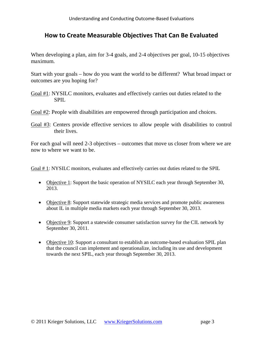### **How to Create Measurable Objectives That Can Be Evaluated**

When developing a plan, aim for 3-4 goals, and 2-4 objectives per goal, 10-15 objectives maximum.

Start with your goals – how do you want the world to be different? What broad impact or outcomes are you hoping for?

- Goal #1: NYSILC monitors, evaluates and effectively carries out duties related to the SPIL
- Goal #2: People with disabilities are empowered through participation and choices.
- Goal #3: Centers provide effective services to allow people with disabilities to control their lives.

For each goal will need 2-3 objectives – outcomes that move us closer from where we are now to where we want to be.

Goal # 1: NYSILC monitors, evaluates and effectively carries out duties related to the SPIL

- Objective 1: Support the basic operation of NYSILC each year through September 30, 2013.
- Objective 8: Support statewide strategic media services and promote public awareness about IL in multiple media markets each year through September 30, 2013.
- Objective 9: Support a statewide consumer satisfaction survey for the CIL network by September 30, 2011.
- Objective 10: Support a consultant to establish an outcome-based evaluation SPIL plan that the council can implement and operationalize, including its use and development towards the next SPIL, each year through September 30, 2013.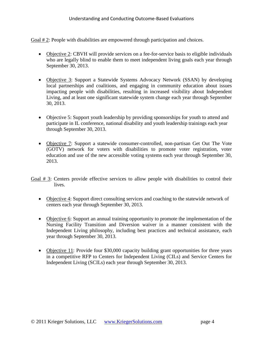Goal # 2: People with disabilities are empowered through participation and choices.

- Objective 2: CBVH will provide services on a fee-for-service basis to eligible individuals who are legally blind to enable them to meet independent living goals each year through September 30, 2013.
- Objective 3: Support a Statewide Systems Advocacy Network (SSAN) by developing local partnerships and coalitions, and engaging in community education about issues impacting people with disabilities, resulting in increased visibility about Independent Living, and at least one significant statewide system change each year through September 30, 2013.
- Objective 5: Support youth leadership by providing sponsorships for youth to attend and participate in IL conference, national disability and youth leadership trainings each year through September 30, 2013.
- Objective 7: Support a statewide consumer-controlled, non-partisan Get Out The Vote (GOTV) network for voters with disabilities to promote voter registration, voter education and use of the new accessible voting systems each year through September 30, 2013.
- Goal  $\#$  3: Centers provide effective services to allow people with disabilities to control their lives.
	- Objective 4: Support direct consulting services and coaching to the statewide network of centers each year through September 30, 2013.
	- Objective 6: Support an annual training opportunity to promote the implementation of the Nursing Facility Transition and Diversion waiver in a manner consistent with the Independent Living philosophy, including best practices and technical assistance, each year through September 30, 2013.
	- Objective 11: Provide four \$30,000 capacity building grant opportunities for three years in a competitive RFP to Centers for Independent Living (CILs) and Service Centers for Independent Living (SCILs) each year through September 30, 2013.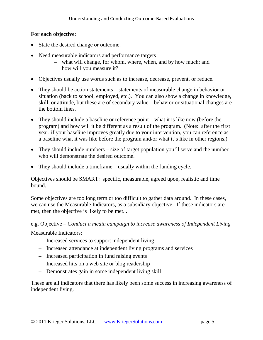#### **For each objective**:

- State the desired change or outcome.
- Need measurable indicators and performance targets
	- what will change, for whom, where, when, and by how much; and how will you measure it?
- Objectives usually use words such as to increase, decrease, prevent, or reduce.
- They should be action statements statements of measurable change in behavior or situation (back to school, employed, etc.). You can also show a change in knowledge, skill, or attitude, but these are of secondary value – behavior or situational changes are the bottom lines.
- They should include a baseline or reference point what it is like now (before the program) and how will it be different as a result of the program. (Note: after the first year, if your baseline improves greatly due to your intervention, you can reference as a baseline what it was like before the program and/or what it's like in other regions.)
- They should include numbers size of target population you'll serve and the number who will demonstrate the desired outcome.
- They should include a timeframe usually within the funding cycle.

Objectives should be SMART: specific, measurable, agreed upon, realistic and time bound.

Some objectives are too long term or too difficult to gather data around. In these cases, we can use the Measurable Indicators, as a subsidiary objective. If these indicators are met, then the objective is likely to be met. .

e.g. Objective – *Conduct a media campaign to increase awareness of Independent Living* 

Measurable Indicators:

- Increased services to support independent living
- Increased attendance at independent living programs and services
- Increased participation in fund raising events
- Increased hits on a web site or blog readership
- Demonstrates gain in some independent living skill

These are all indicators that there has likely been some success in increasing awareness of independent living.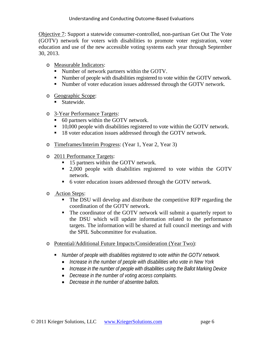Objective 7: Support a statewide consumer-controlled, non-partisan Get Out The Vote (GOTV) network for voters with disabilities to promote voter registration, voter education and use of the new accessible voting systems each year through September 30, 2013.

- o Measurable Indicators:
	- Number of network partners within the GOTV.
	- Number of people with disabilities registered to vote within the GOTV network.
	- Number of voter education issues addressed through the GOTV network.
- o Geographic Scope:
	- Statewide.
- o 3-Year Performance Targets:
	- 60 partners within the GOTV network.
	- 10,000 people with disabilities registered to vote within the GOTV network.
	- 18 voter education issues addressed through the GOTV network.
- o Timeframes/Interim Progress: (Year 1, Year 2, Year 3)
- o 2011 Performance Targets:
	- 15 partners within the GOTV network.
	- 2,000 people with disabilities registered to vote within the GOTV network.
	- 6 voter education issues addressed through the GOTV network.
- o Action Steps:
	- The DSU will develop and distribute the competitive RFP regarding the coordination of the GOTV network.
	- The coordinator of the GOTV network will submit a quarterly report to the DSU which will update information related to the performance targets. The information will be shared at full council meetings and with the SPIL Subcommittee for evaluation.
- o Potential/Additional Future Impacts/Consideration (Year Two):
	- *Number of people with disabilities registered to vote within the GOTV network.*
		- *Increase in the number of people with disabilities who vote in New York*
		- *Increase in the number of people with disabilities using the Ballot Marking Device*
		- *Decrease in the number of voting access complaints.*
		- *Decrease in the number of absentee ballots.*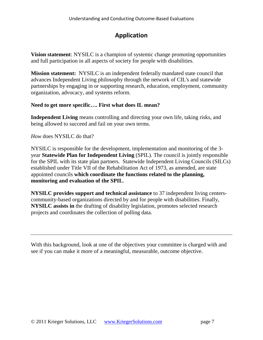## **Application**

**Vision statement**: NYSILC is a champion of systemic change promoting opportunities and full participation in all aspects of society for people with disabilities.

**Mission statement:** NYSILC is an independent federally mandated state council that advances Independent Living philosophy through the network of CIL's and statewide partnerships by engaging in or supporting research, education, employment, community organization, advocacy, and systems reform.

#### **Need to get more specific…. First what does IL mean?**

**Independent Living** means controlling and directing your own life, taking risks, and being allowed to succeed and fail on your own terms.

*How* does NYSILC do that?

NYSILC is responsible for the development, implementation and monitoring of the 3 year **Statewide Plan for Independent Living** (SPIL). The council is jointly responsible for the SPIL with its state plan partners. Statewide Independent Living Councils (SILCs) established under Title VII of the Rehabilitation Act of 1973, as amended, are state appointed councils **which coordinate the functions related to the planning, monitoring and evaluation of the SPIL**.

**NYSILC provides support and technical assistance** to 37 independent living centerscommunity-based organizations directed by and for people with disabilities. Finally, **NYSILC assists in** the drafting of disability legislation, promotes selected research projects and coordinates the collection of polling data.

With this background, look at one of the objectives your committee is charged with and see if you can make it more of a meaningful, measurable, outcome objective.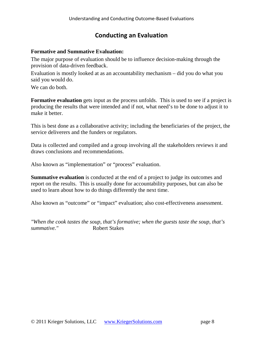## **Conducting an Evaluation**

#### **Formative and Summative Evaluation:**

The major purpose of evaluation should be to influence decision-making through the provision of data-driven feedback.

Evaluation is mostly looked at as an accountability mechanism – did you do what you said you would do.

We can do both.

**Formative evaluation** gets input as the process unfolds. This is used to see if a project is producing the results that were intended and if not, what need's to be done to adjust it to make it better.

This is best done as a collaborative activity; including the beneficiaries of the project, the service deliverers and the funders or regulators.

Data is collected and compiled and a group involving all the stakeholders reviews it and draws conclusions and recommendations.

Also known as "implementation" or "process" evaluation.

**Summative evaluation** is conducted at the end of a project to judge its outcomes and report on the results. This is usually done for accountability purposes, but can also be used to learn about how to do things differently the next time.

Also known as "outcome" or "impact" evaluation; also cost-effectiveness assessment.

*"When the cook tastes the soup, that's formative; when the guests taste the soup, that's summative."* Robert Stakes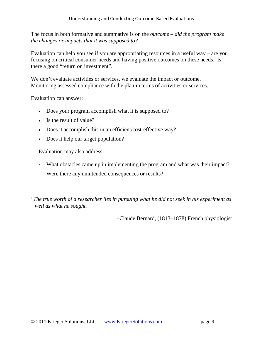The focus in both formative and summative is on the *outcome – did the program make the changes or impacts that it was supposed to?* 

Evaluation can help you see if you are appropriating resources in a useful way – are you focusing on critical consumer needs and having positive outcomes on these needs. Is there a good "return on investment".

We don't evaluate activities or services, we evaluate the impact or outcome. Monitoring assessed compliance with the plan in terms of activities or services.

Evaluation can answer:

- Does your program accomplish what it is supposed to?
- Is the result of value?
- Does it accomplish this in an efficient/cost-effective way?
- Does it help our target population?

Evaluation may also address:

- What obstacles came up in implementing the program and what was their impact?
- Were there any unintended consequences or results?

*"The true worth of a researcher lies in pursuing what he did not seek in his experiment as well as what he sought."*

–Claude Bernard, (1813–1878) French physiologist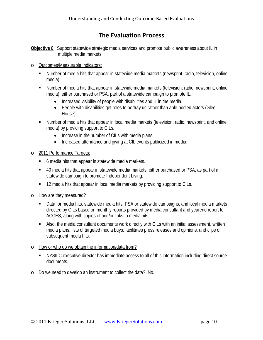## **The Evaluation Process**

**Objective 8**: Support statewide strategic media services and promote public awareness about IL in multiple media markets.

- o Outcomes/Measurable Indicators:
	- Number of media hits that appear in statewide media markets (newsprint, radio, television, online media).
	- Number of media hits that appear in statewide media markets (television, radio, newsprint, online media), either purchased or PSA, part of a statewide campaign to promote IL.
		- Increased visibility of people with disabilities and IL in the media.
		- People with disabilities get roles to portray us rather than able-bodied actors (Glee, House).
	- Number of media hits that appear in local media markets (television, radio, newsprint, and online media) by providing support to CILs.
		- Increase in the number of CILs with media plans.
		- Increased attendance and giving at CIL events publicized in media.
- o 2011 Performance Targets:
	- 6 media hits that appear in statewide media markets.
	- 40 media hits that appear in statewide media markets, either purchased or PSA, as part of a statewide campaign to promote Independent Living.
	- **12 media hits that appear in local media markets by providing support to CILs.**
- o How are they measured?
	- Data for media hits, statewide media hits, PSA or statewide campaigns, and local media markets directed by CILs based on monthly reports provided by media consultant and yearend report to ACCES, along with copies of and/or links to media hits.
	- Also, the media consultant documents work directly with CILs with an initial assessment, written media plans, lists of targeted media buys, facilitates press releases and opinions, and clips of subsequent media hits.
- o How or who do we obtain the information/data from?
	- NYSILC executive director has immediate access to all of this information including direct source documents.
- o Do we need to develop an instrument to collect the data? No.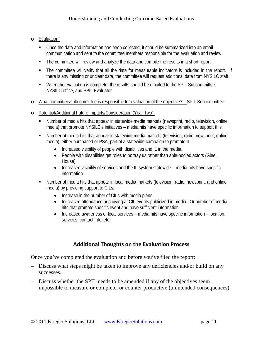- o Evaluation:
	- Once the data and information has been collected, it should be summarized into an email communication and sent to the committee members responsible for the evaluation and review.
	- The committee will review and analyze the data and compile the results in a short report.
	- The committee will verify that all the data for measurable indicators is included in the report. If there is any missing or unclear data, the committee will request additional data from NYSILC staff.
	- When the evaluation is complete, the results should be emailed to the SPIL Subcommittee, NYSILC office, and SPIL Evaluator.
- o What committee/subcommittee is responsible for evaluation of the objective? SPIL Subcommittee.
- o Potential/Additional Future Impacts/Consideration (Year Two):
	- Number of media hits that appear in statewide media markets (newsprint, radio, television, online media) that promote NYSILC's initiatives – media hits have specific information to support this
	- Number of media hits that appear in statewide media markets (television, radio, newsprint, online media), either purchased or PSA, part of a statewide campaign to promote IL.
		- Increased visibility of people with disabilities and IL in the media.
		- People with disabilities get roles to portray us rather than able-bodied actors (Glee, House).
		- Increased visibility of services and the IL system statewide media hits have specific information
	- Number of media hits that appear in local media markets (television, radio, newsprint, and online media) by providing support to CILs.
		- Increase in the number of CILs with media plans.
		- Increased attendance and giving at CIL events publicized in media. Or number of media hits that promote specific event and have sufficient information
		- Increased awareness of local services media hits have specific information location, services, contact info, etc.

#### **Additional Thoughts on the Evaluation Process**

Once you've completed the evaluation and before you've filed the report:

- Discuss what steps might be taken to improve any deficiencies and/or build on any successes.
- Discuss whether the SPIL needs to be amended if any of the objectives seem impossible to measure or complete, or counter productive (unintended consequences).